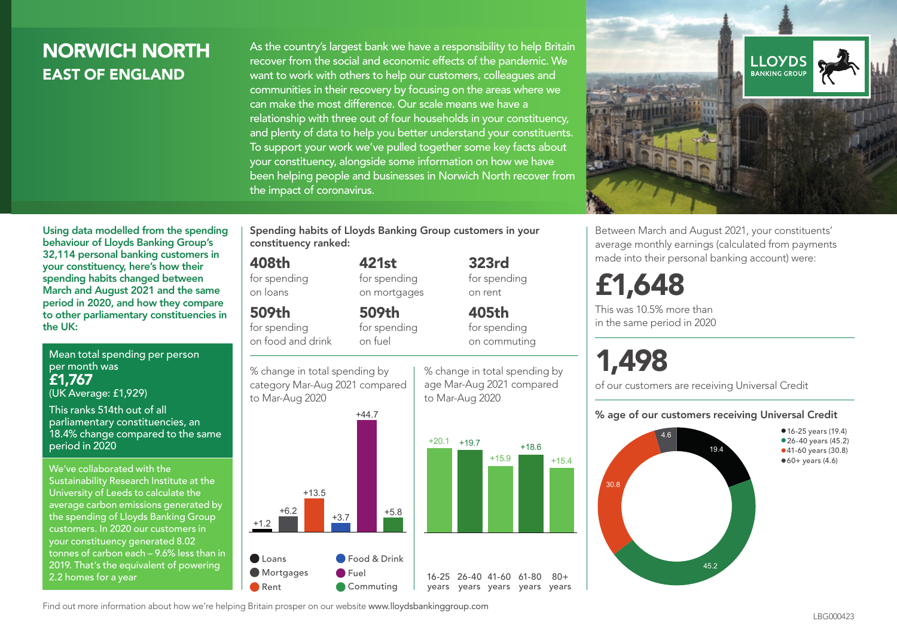## NORWICH NORTH EAST OF ENGLAND

As the country's largest bank we have a responsibility to help Britain recover from the social and economic effects of the pandemic. We want to work with others to help our customers, colleagues and communities in their recovery by focusing on the areas where we can make the most difference. Our scale means we have a relationship with three out of four households in your constituency, and plenty of data to help you better understand your constituents. To support your work we've pulled together some key facts about your constituency, alongside some information on how we have been helping people and businesses in Norwich North recover from the impact of coronavirus.



Using data modelled from the spending behaviour of Lloyds Banking Group's 32,114 personal banking customers in your constituency, here's how their spending habits changed between March and August 2021 and the same period in 2020, and how they compare to other parliamentary constituencies in the UK:

Mean total spending per person per month was £1,767 (UK Average: £1,929)

This ranks 514th out of all parliamentary constituencies, an 18.4% change compared to the same period in 2020

We've collaborated with the Sustainability Research Institute at the University of Leeds to calculate the average carbon emissions generated by the spending of Lloyds Banking Group customers. In 2020 our customers in your constituency generated 8.02 tonnes of carbon each – 9.6% less than in 2019. That's the equivalent of powering 2.2 homes for a year

Spending habits of Lloyds Banking Group customers in your constituency ranked:

> 421st for spending on mortgages

509th

## 408th

for spending on loans

## 509th

for spending on food and drink

for spending on fuel



% change in total spending by age Mar-Aug 2021 compared to Mar-Aug 2020



323rd for spending on rent

405th for spending on commuting

£1,648 This was 10.5% more than in the same period in 2020

# 1,498

of our customers are receiving Universal Credit

#### % age of our customers receiving Universal Credit

Between March and August 2021, your constituents' average monthly earnings (calculated from payments made into their personal banking account) were:



• 16-25 years (19.4) • 26-40 years (45.2) •41-60 years (30.8)

 $•60+ years (4.6)$ 

Find out more information about how we're helping Britain prosper on our website www.lloydsbankinggroup.com